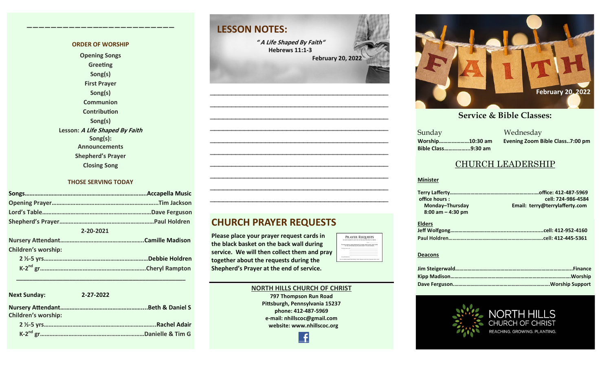#### **ORDER OF WORSHIP**

**————————————–————————————**

**Opening Songs Greeting Song(s) First Prayer Song(s) Communion Contribution Song(s) Lesson: A Life Shaped By Faith Song(s): Announcements Shepherd's Prayer Closing Song**

#### **THOSE SERVING TODAY**

| 2-20-2021           |                 |
|---------------------|-----------------|
|                     |                 |
| Children's worship: |                 |
|                     | "Debbie Holdren |
|                     |                 |

| <b>Next Sunday:</b>        | 2-27-2022            |  |
|----------------------------|----------------------|--|
| <b>Children's worship:</b> |                      |  |
|                            | <b>.Rachel Adair</b> |  |
|                            | "Danielle & Tim G    |  |

 **\_\_\_\_\_\_\_\_\_\_\_\_\_\_\_\_\_\_\_\_\_\_\_\_\_\_\_\_\_\_\_\_\_\_\_\_\_\_\_\_\_\_\_\_\_\_\_\_\_\_\_**

## **LESSON NOTES:**

**" A Life Shaped By Faith" Hebrews 11:1-3 February 20, 2022**

**—————————————————————————————————————————— —————————————————————————————————————————— —————————————————————————————————————————— —————————————————————————————————————————— —————————————————————————————————————————— —————————————————————————————————————————— —————————————————————————————————————————— —————————————————————————————————————————— —————————————————————————————————————————— ——————————————————————————————————————————**



**Please place your prayer request cards in the black basket on the back wall during service. We will then collect them and pray together about the requests during the Shepherd's Prayer at the end of service.** 



Æ

PRAYER REQUESTS 



#### **September 24, 2017 October 8, 2017 October 15, 2017 October 8, 2017 October 22, 2017 October 29, 2017 November 5, 2017 November 12, 2017 November 26, 2017 December 10, 2017 December 24, 2017 January 7, 2017 January 7, 2017 February 21, 2021**

a Mednesday<br>Sunday Mednesday **Sunday Bible Class……………...9:30 am**

**Worship…………………10:30 am Evening Zoom Bible Class..7:00 pm**

#### CHURCH LEADERSHIP

#### **Minister**

| office hours :       | cell: 724-986-4584             |  |
|----------------------|--------------------------------|--|
| Monday-Thursday      | Email: terry@terrylafferty.com |  |
| $8:00$ am $-4:30$ pm |                                |  |

| <b>Elders</b> |  |
|---------------|--|
|               |  |
|               |  |

#### **Deacons**